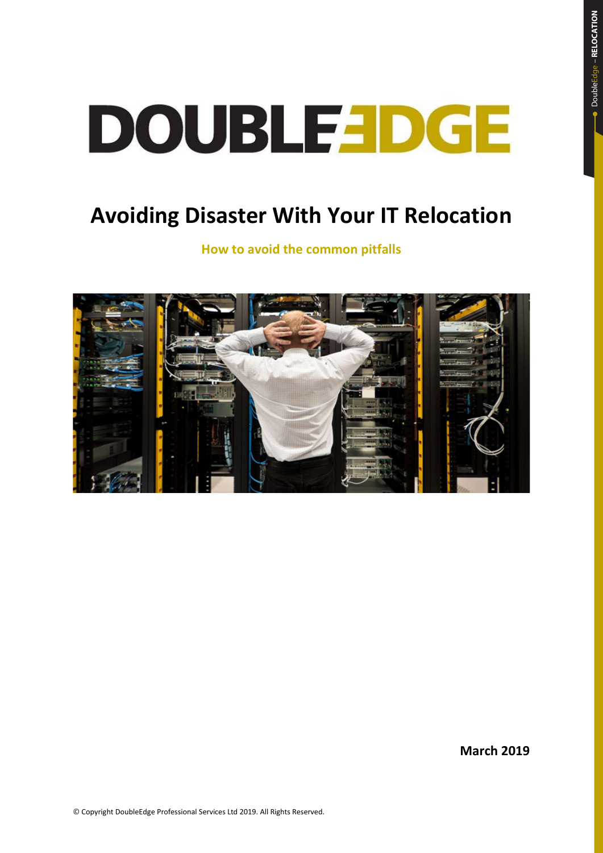## **Avoiding Disaster With Your IT Relocation**

**How to avoid the common pitfalls**



**March 2019**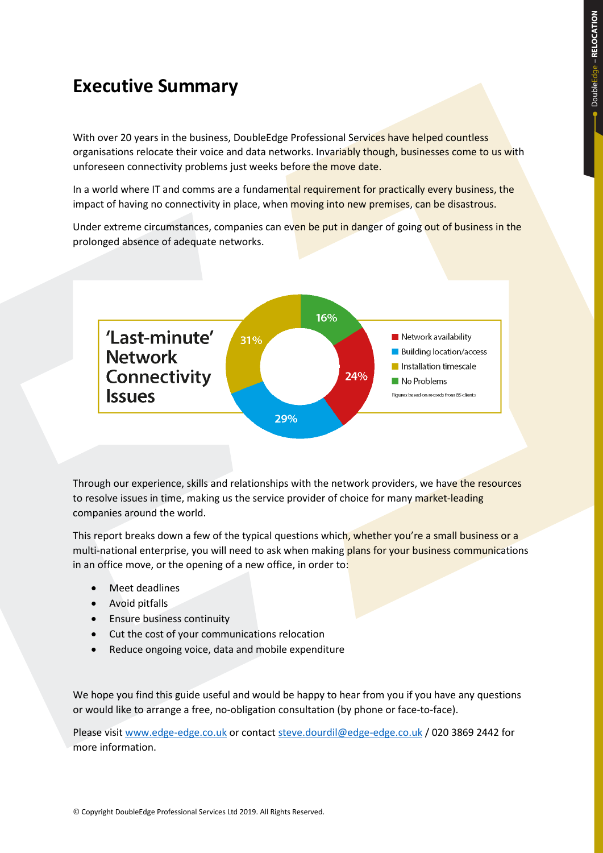## **Executive Summary**

With over 20 years in the business, DoubleEdge Professional Services have helped countless organisations relocate their voice and data networks. Invariably though, businesses come to us with unforeseen connectivity problems just weeks before the move date.

In a world where IT and comms are a fundamental requirement for practically every business, the impact of having no connectivity in place, when moving into new premises, can be disastrous.

Under extreme circumstances, companies can even be put in danger of going out of business in the prolonged absence of adequate networks.



Through our experience, skills and relationships with the network providers, we have the resources to resolve issues in time, making us the service provider of choice for many market-leading companies around the world.

This report breaks down a few of the typical questions which, whether you're a small business or a multi-national enterprise, you will need to ask when making plans for your business communications in an office move, or the opening of a new office, in order to:

- Meet deadlines
- Avoid pitfalls
- Ensure business continuity
- Cut the cost of your communications relocation
- Reduce ongoing voice, data and mobile expenditure

We hope you find this guide useful and would be happy to hear from you if you have any questions or would like to arrange a free, no-obligation consultation (by phone or face-to-face).

Please visi[t www.edge-edge.co.uk](http://www.edge-edge.co.uk/) or contac[t steve.dourdil@edge-edge.co.uk](mailto:steve.dourdil@edge-edge.co.uk) / 020 3869 2442 for more information.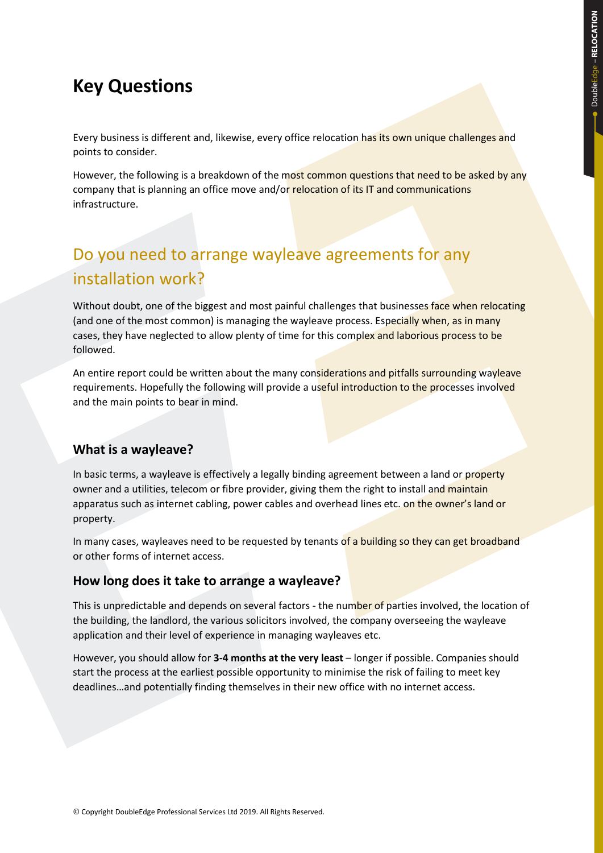## **Key Questions**

Every business is different and, likewise, every office relocation has its own unique challenges and points to consider.

However, the following is a breakdown of the most common questions that need to be asked by any company that is planning an office move and/or relocation of its IT and communications infrastructure.

## Do you need to arrange wayleave agreements for any installation work?

Without doubt, one of the biggest and most painful challenges that businesses face when relocating (and one of the most common) is managing the wayleave process. Especially when, as in many cases, they have neglected to allow plenty of time for this complex and laborious process to be followed.

An entire report could be written about the many considerations and pitfalls surrounding wayleave requirements. Hopefully the following will provide a useful introduction to the processes involved and the main points to bear in mind.

#### **What is a wayleave?**

In basic terms, a wayleave is effectively a legally binding agreement between a land or property owner and a utilities, telecom or fibre provider, giving them the right to install and maintain apparatus such as internet cabling, power cables and overhead lines etc. on the owner's land or property.

In many cases, wayleaves need to be requested by tenants of a building so they can get broadband or other forms of internet access.

#### **How long does it take to arrange a wayleave?**

This is unpredictable and depends on several factors - the number of parties involved, the location of the building, the landlord, the various solicitors involved, the company overseeing the wayleave application and their level of experience in managing wayleaves etc.

However, you should allow for **3-4 months at the very least** – longer if possible. Companies should start the process at the earliest possible opportunity to minimise the risk of failing to meet key deadlines…and potentially finding themselves in their new office with no internet access.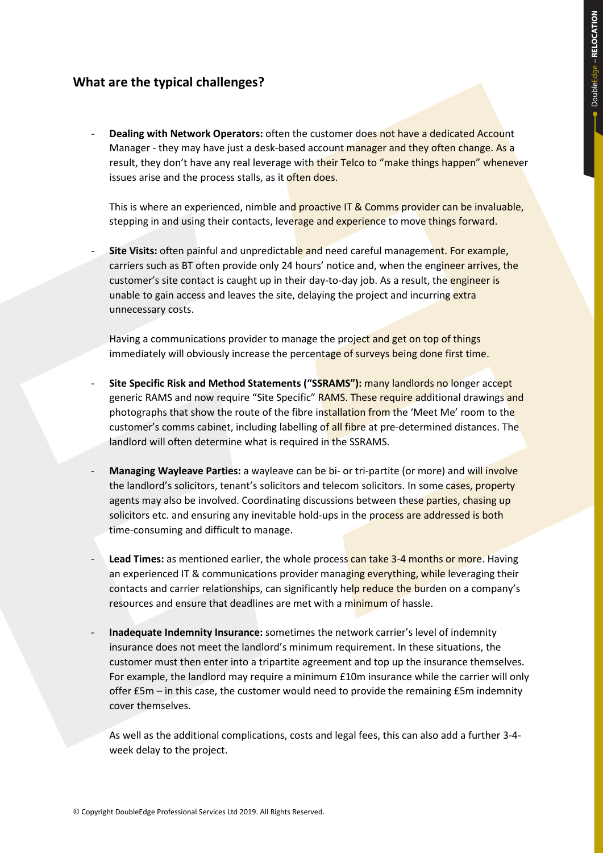#### **What are the typical challenges?**

**Dealing with Network Operators:** often the customer does not have a dedicated Account Manager - they may have just a desk-based account manager and they often change. As a result, they don't have any real leverage with their Telco to "make things happen" whenever issues arise and the process stalls, as it often does.

This is where an experienced, nimble and proactive IT & Comms provider can be invaluable, stepping in and using their contacts, leverage and experience to move things forward.

Site Visits: often painful and unpredictable and need careful management. For example, carriers such as BT often provide only 24 hours' notice and, when the engineer arrives, the customer's site contact is caught up in their day-to-day job. As a result, the engineer is unable to gain access and leaves the site, delaying the project and incurring extra unnecessary costs.

Having a communications provider to manage the project and get on top of things immediately will obviously increase the percentage of surveys being done first time.

- **Site Specific Risk and Method Statements ("SSRAMS"):** many landlords no longer accept generic RAMS and now require "Site Specific" RAMS. These require additional drawings and photographs that show the route of the fibre installation from the 'Meet Me' room to the customer's comms cabinet, including labelling of all fibre at pre-determined distances. The landlord will often determine what is required in the SSRAMS.
- Managing Wayleave Parties: a wayleave can be bi- or tri-partite (or more) and will involve the landlord's solicitors, tenant's solicitors and telecom solicitors. In some cases, property agents may also be involved. Coordinating discussions between these parties, chasing up solicitors etc. and ensuring any inevitable hold-ups in the process are addressed is both time-consuming and difficult to manage.
- **Lead Times:** as mentioned earlier, the whole process can take 3-4 months or more. Having an experienced IT & communications provider managing everything, while leveraging their contacts and carrier relationships, can significantly help reduce the burden on a company's resources and ensure that deadlines are met with a minimum of hassle.
- **Inadequate Indemnity Insurance:** sometimes the network carrier's level of indemnity insurance does not meet the landlord's minimum requirement. In these situations, the customer must then enter into a tripartite agreement and top up the insurance themselves. For example, the landlord may require a minimum £10m insurance while the carrier will only offer £5m – in this case, the customer would need to provide the remaining £5m indemnity cover themselves.

As well as the additional complications, costs and legal fees, this can also add a further 3-4 week delay to the project.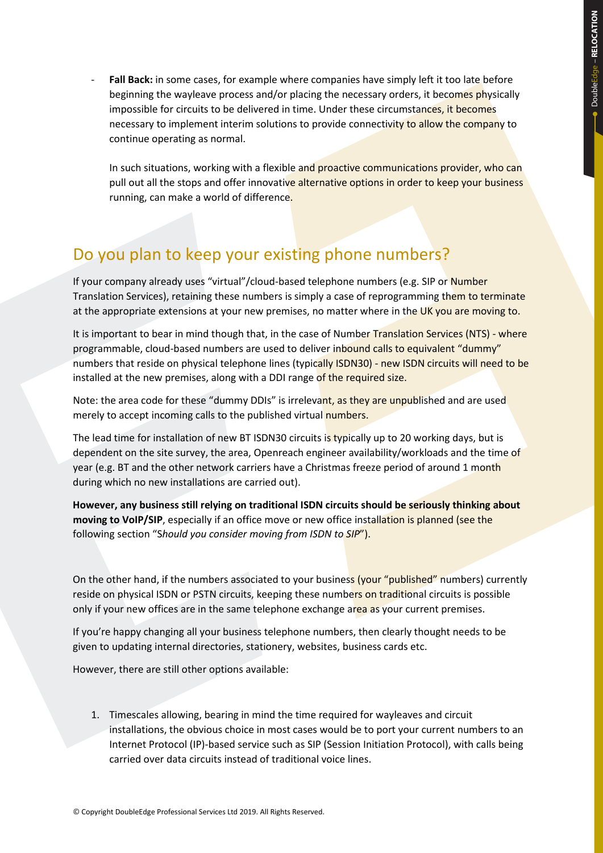Fall Back: in some cases, for example where companies have simply left it too late before beginning the wayleave process and/or placing the necessary orders, it becomes physically impossible for circuits to be delivered in time. Under these circumstances, it becomes necessary to implement interim solutions to provide connectivity to allow the company to continue operating as normal.

In such situations, working with a flexible and proactive communications provider, who can pull out all the stops and offer innovative alternative options in order to keep your business running, can make a world of difference.

#### Do you plan to keep your existing phone numbers?

If your company already uses "virtual"/cloud-based telephone numbers (e.g. SIP or Number Translation Services), retaining these numbers is simply a case of reprogramming them to terminate at the appropriate extensions at your new premises, no matter where in the UK you are moving to.

It is important to bear in mind though that, in the case of Number Translation Services (NTS) - where programmable, cloud-based numbers are used to deliver inbound calls to equivalent "dummy" numbers that reside on physical telephone lines (typically ISDN30) - new ISDN circuits will need to be installed at the new premises, along with a DDI range of the required size.

Note: the area code for these "dummy DDIs" is irrelevant, as they are unpublished and are used merely to accept incoming calls to the published virtual numbers.

The lead time for installation of new BT ISDN30 circuits is typically up to 20 working days, but is dependent on the site survey, the area, Openreach engineer availability/workloads and the time of year (e.g. BT and the other network carriers have a Christmas freeze period of around 1 month during which no new installations are carried out).

**However, any business still relying on traditional ISDN circuits should be seriously thinking about moving to VoIP/SIP**, especially if an office move or new office installation is planned (see the following section "S*hould you consider moving from ISDN to SIP*").

On the other hand, if the numbers associated to your business (your "published" numbers) currently reside on physical ISDN or PSTN circuits, keeping these numbers on traditional circuits is possible only if your new offices are in the same telephone exchange area as your current premises.

If you're happy changing all your business telephone numbers, then clearly thought needs to be given to updating internal directories, stationery, websites, business cards etc.

However, there are still other options available:

1. Timescales allowing, bearing in mind the time required for wayleaves and circuit installations, the obvious choice in most cases would be to port your current numbers to an Internet Protocol (IP)-based service such as SIP (Session Initiation Protocol), with calls being carried over data circuits instead of traditional voice lines.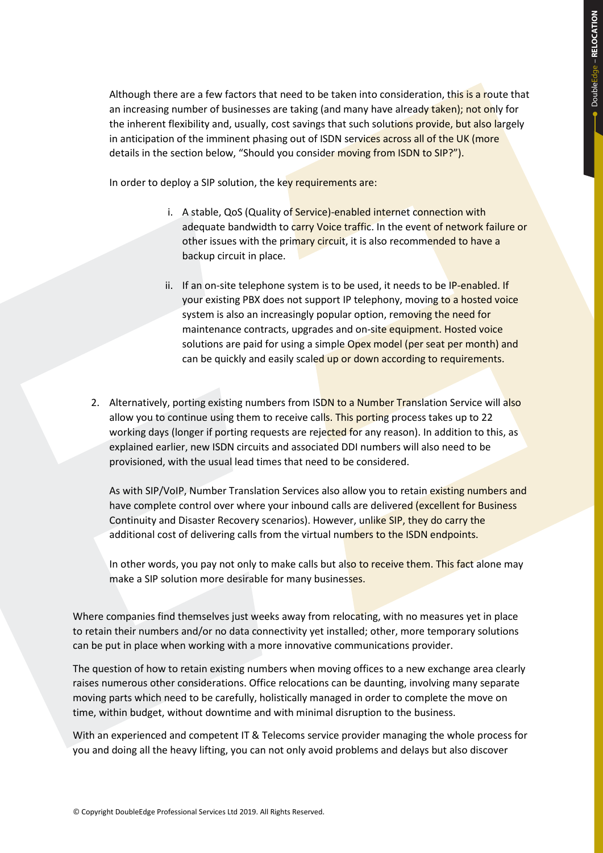Although there are a few factors that need to be taken into consideration, this is a route that an increasing number of businesses are taking (and many have already taken); not only for the inherent flexibility and, usually, cost savings that such solutions provide, but also largely in anticipation of the imminent phasing out of ISDN services across all of the UK (more details in the section below, "Should you consider moving from ISDN to SIP?").

In order to deploy a SIP solution, the key requirements are:

- i. A stable, QoS (Quality of Service)-enabled internet connection with adequate bandwidth to carry Voice traffic. In the event of network failure or other issues with the primary circuit, it is also recommended to have a backup circuit in place.
- ii. If an on-site telephone system is to be used, it needs to be IP-enabled. If your existing PBX does not support IP telephony, moving to a hosted voice system is also an increasingly popular option, removing the need for maintenance contracts, upgrades and on-site equipment. Hosted voice solutions are paid for using a simple Opex model (per seat per month) and can be quickly and easily scaled up or down according to requirements.
- 2. Alternatively, porting existing numbers from ISDN to a Number Translation Service will also allow you to continue using them to receive calls. This porting process takes up to 22 working days (longer if porting requests are rejected for any reason). In addition to this, as explained earlier, new ISDN circuits and associated DDI numbers will also need to be provisioned, with the usual lead times that need to be considered.

As with SIP/VoIP, Number Translation Services also allow you to retain existing numbers and have complete control over where your inbound calls are delivered (excellent for Business Continuity and Disaster Recovery scenarios). However, unlike SIP, they do carry the additional cost of delivering calls from the virtual numbers to the ISDN endpoints.

In other words, you pay not only to make calls but also to receive them. This fact alone may make a SIP solution more desirable for many businesses.

Where companies find themselves just weeks away from relocating, with no measures yet in place to retain their numbers and/or no data connectivity yet installed; other, more temporary solutions can be put in place when working with a more innovative communications provider.

The question of how to retain existing numbers when moving offices to a new exchange area clearly raises numerous other considerations. Office relocations can be daunting, involving many separate moving parts which need to be carefully, holistically managed in order to complete the move on time, within budget, without downtime and with minimal disruption to the business.

With an experienced and competent IT & Telecoms service provider managing the whole process for you and doing all the heavy lifting, you can not only avoid problems and delays but also discover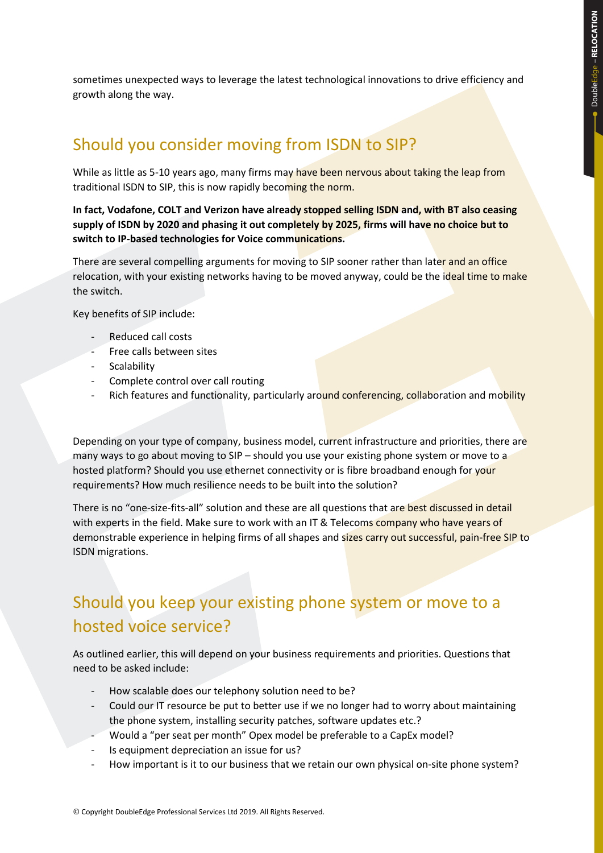sometimes unexpected ways to leverage the latest technological innovations to drive efficiency and growth along the way.

#### Should you consider moving from ISDN to SIP?

While as little as 5-10 years ago, many firms may have been nervous about taking the leap from traditional ISDN to SIP, this is now rapidly becoming the norm.

**In fact, Vodafone, COLT and Verizon have already stopped selling ISDN and, with BT also ceasing supply of ISDN by 2020 and phasing it out completely by 2025, firms will have no choice but to switch to IP-based technologies for Voice communications.**

There are several compelling arguments for moving to SIP sooner rather than later and an office relocation, with your existing networks having to be moved anyway, could be the ideal time to make the switch.

Key benefits of SIP include:

- Reduced call costs
- Free calls between sites
- **Scalability**
- Complete control over call routing
- Rich features and functionality, particularly around conferencing, collaboration and mobility

Depending on your type of company, business model, current infrastructure and priorities, there are many ways to go about moving to SIP – should you use your existing phone system or move to a hosted platform? Should you use ethernet connectivity or is fibre broadband enough for your requirements? How much resilience needs to be built into the solution?

There is no "one-size-fits-all" solution and these are all questions that are best discussed in detail with experts in the field. Make sure to work with an IT & Telecoms company who have years of demonstrable experience in helping firms of all shapes and sizes carry out successful, pain-free SIP to ISDN migrations.

#### Should you keep your existing phone system or move to a hosted voice service?

As outlined earlier, this will depend on your business requirements and priorities. Questions that need to be asked include:

- How scalable does our telephony solution need to be?
- Could our IT resource be put to better use if we no longer had to worry about maintaining the phone system, installing security patches, software updates etc.?
- Would a "per seat per month" Opex model be preferable to a CapEx model?
- Is equipment depreciation an issue for us?
- How important is it to our business that we retain our own physical on-site phone system?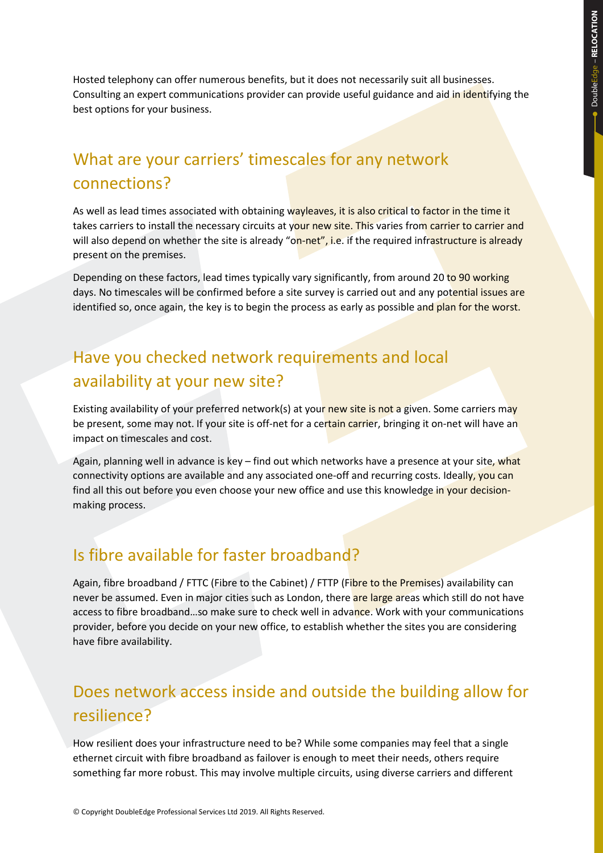Hosted telephony can offer numerous benefits, but it does not necessarily suit all businesses. Consulting an expert communications provider can provide useful guidance and aid in identifying the best options for your business.

#### What are your carriers' timescales for any network connections?

As well as lead times associated with obtaining wayleaves, it is also critical to factor in the time it takes carriers to install the necessary circuits at your new site. This varies from carrier to carrier and will also depend on whether the site is already "on-net", i.e. if the required infrastructure is already present on the premises.

Depending on these factors, lead times typically vary significantly, from around 20 to 90 working days. No timescales will be confirmed before a site survey is carried out and any potential issues are identified so, once again, the key is to begin the process as early as possible and plan for the worst.

#### Have you checked network requirements and local availability at your new site?

Existing availability of your preferred network(s) at your new site is not a given. Some carriers may be present, some may not. If your site is off-net for a certain carrier, bringing it on-net will have an impact on timescales and cost.

Again, planning well in advance is key – find out which networks have a presence at your site, what connectivity options are available and any associated one-off and recurring costs. Ideally, you can find all this out before you even choose your new office and use this knowledge in your decisionmaking process.

#### Is fibre available for faster broadband?

Again, fibre broadband / FTTC (Fibre to the Cabinet) / FTTP (Fibre to the Premises) availability can never be assumed. Even in major cities such as London, there are large areas which still do not have access to fibre broadband...so make sure to check well in advance. Work with your communications provider, before you decide on your new office, to establish whether the sites you are considering have fibre availability.

#### Does network access inside and outside the building allow for resilience?

How resilient does your infrastructure need to be? While some companies may feel that a single ethernet circuit with fibre broadband as failover is enough to meet their needs, others require something far more robust. This may involve multiple circuits, using diverse carriers and different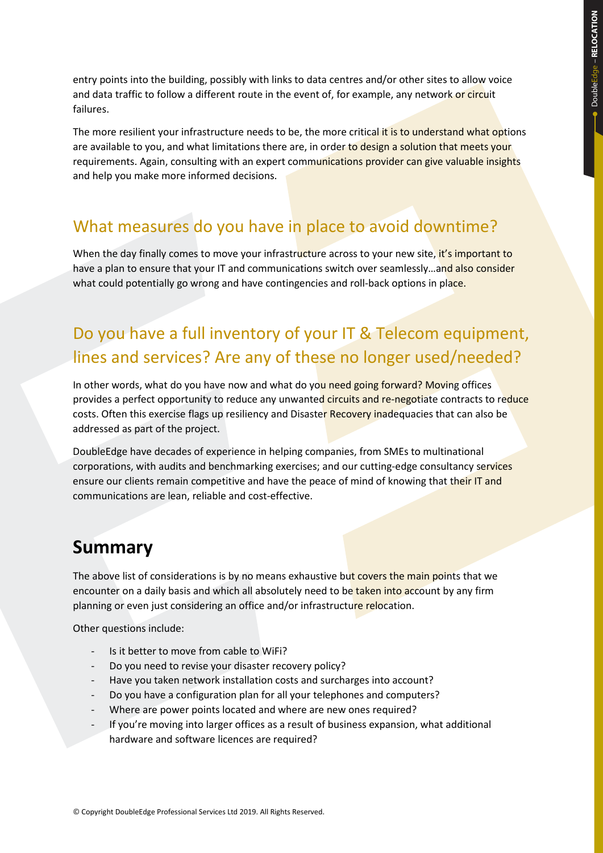entry points into the building, possibly with links to data centres and/or other sites to allow voice and data traffic to follow a different route in the event of, for example, any network or circuit failures.

The more resilient your infrastructure needs to be, the more critical it is to understand what options are available to you, and what limitations there are, in order to design a solution that meets your requirements. Again, consulting with an expert communications provider can give valuable insights and help you make more informed decisions.

#### What measures do you have in place to avoid downtime?

When the day finally comes to move your infrastructure across to your new site, it's important to have a plan to ensure that your IT and communications switch over seamlessly...and also consider what could potentially go wrong and have contingencies and roll-back options in place.

## Do you have a full inventory of your IT & Telecom equipment, lines and services? Are any of these no longer used/needed?

In other words, what do you have now and what do you need going forward? Moving offices provides a perfect opportunity to reduce any unwanted circuits and re-negotiate contracts to reduce costs. Often this exercise flags up resiliency and Disaster Recovery inadequacies that can also be addressed as part of the project.

DoubleEdge have decades of experience in helping companies, from SMEs to multinational corporations, with audits and benchmarking exercises; and our cutting-edge consultancy services ensure our clients remain competitive and have the peace of mind of knowing that their IT and communications are lean, reliable and cost-effective.

#### **Summary**

The above list of considerations is by no means exhaustive but covers the main points that we encounter on a daily basis and which all absolutely need to be taken into account by any firm planning or even just considering an office and/or infrastructure relocation.

Other questions include:

- Is it better to move from cable to WiFi?
- Do you need to revise your disaster recovery policy?
- Have you taken network installation costs and surcharges into account?
- Do you have a configuration plan for all your telephones and computers?
- Where are power points located and where are new ones required?
- If you're moving into larger offices as a result of business expansion, what additional hardware and software licences are required?